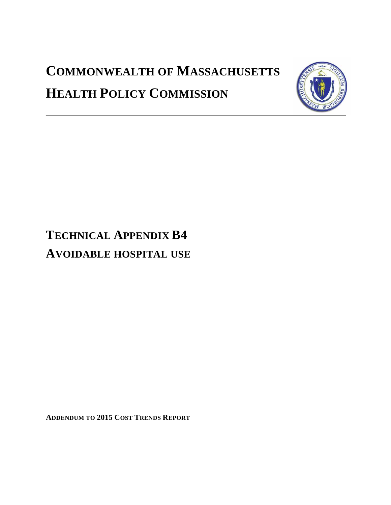# **COMMONWEALTH OF MASSACHUSETTS HEALTH POLICY COMMISSION**



## **TECHNICAL APPENDIX B4 AVOIDABLE HOSPITAL USE**

**ADDENDUM TO 2015 COST TRENDS REPORT**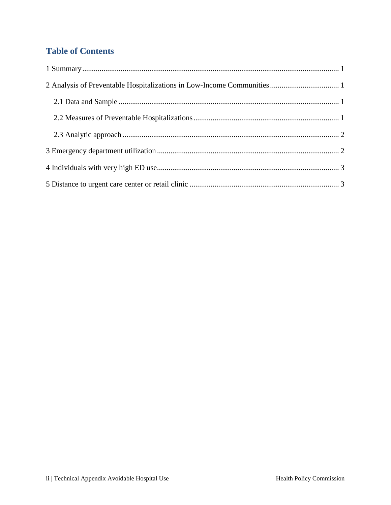## **Table of Contents**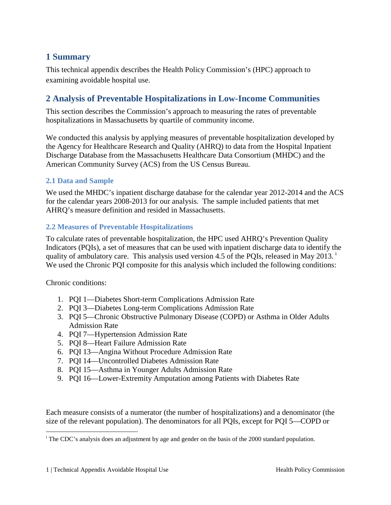## <span id="page-2-0"></span>**1 Summary**

This technical appendix describes the Health Policy Commission's (HPC) approach to examining avoidable hospital use.

## <span id="page-2-1"></span>**2 Analysis of Preventable Hospitalizations in Low-Income Communities**

This section describes the Commission's approach to measuring the rates of preventable hospitalizations in Massachusetts by quartile of community income.

We conducted this analysis by applying measures of preventable hospitalization developed by the Agency for Healthcare Research and Quality (AHRQ) to data from the Hospital Inpatient Discharge Database from the Massachusetts Healthcare Data Consortium (MHDC) and the American Community Survey (ACS) from the US Census Bureau.

#### <span id="page-2-2"></span>**2.1 Data and Sample**

We used the MHDC's inpatient discharge database for the calendar year 2012-2014 and the ACS for the calendar years 2008-2013 for our analysis. The sample included patients that met AHRQ's measure definition and resided in Massachusetts.

#### <span id="page-2-3"></span>**2.2 Measures of Preventable Hospitalizations**

To calculate rates of preventable hospitalization, the HPC used AHRQ's Prevention Quality Indicators (PQIs), a set of measures that can be used with inpatient discharge data to identify the qual[i](#page-2-4)ty of ambulatory care. This analysis used version 4.5 of the PQIs, released in May 2013.<sup>1</sup> We used the Chronic PQI composite for this analysis which included the following conditions:

Chronic conditions:

 $\overline{a}$ 

- 1. PQI 1—Diabetes Short-term Complications Admission Rate
- 2. PQI 3—Diabetes Long-term Complications Admission Rate
- 3. PQI 5—Chronic Obstructive Pulmonary Disease (COPD) or Asthma in Older Adults Admission Rate
- 4. PQI 7—Hypertension Admission Rate
- 5. PQI 8—Heart Failure Admission Rate
- 6. PQI 13—Angina Without Procedure Admission Rate
- 7. PQI 14—Uncontrolled Diabetes Admission Rate
- 8. PQI 15—Asthma in Younger Adults Admission Rate
- 9. PQI 16—Lower-Extremity Amputation among Patients with Diabetes Rate

Each measure consists of a numerator (the number of hospitalizations) and a denominator (the size of the relevant population). The denominators for all PQIs, except for PQI 5—COPD or

<span id="page-2-4"></span><sup>&</sup>lt;sup>i</sup> The CDC's analysis does an adjustment by age and gender on the basis of the 2000 standard population.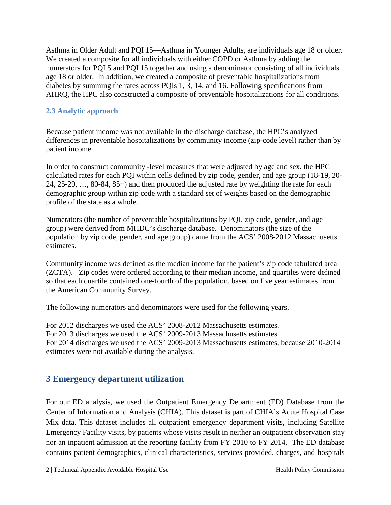Asthma in Older Adult and PQI 15—Asthma in Younger Adults, are individuals age 18 or older. We created a composite for all individuals with either COPD or Asthma by adding the numerators for PQI 5 and PQI 15 together and using a denominator consisting of all individuals age 18 or older. In addition, we created a composite of preventable hospitalizations from diabetes by summing the rates across PQIs 1, 3, 14, and 16. Following specifications from AHRQ, the HPC also constructed a composite of preventable hospitalizations for all conditions.

#### <span id="page-3-0"></span>**2.3 Analytic approach**

Because patient income was not available in the discharge database, the HPC's analyzed differences in preventable hospitalizations by community income (zip-code level) rather than by patient income.

In order to construct community -level measures that were adjusted by age and sex, the HPC calculated rates for each PQI within cells defined by zip code, gender, and age group (18-19, 20- 24, 25-29, …, 80-84, 85+) and then produced the adjusted rate by weighting the rate for each demographic group within zip code with a standard set of weights based on the demographic profile of the state as a whole.

Numerators (the number of preventable hospitalizations by PQI, zip code, gender, and age group) were derived from MHDC's discharge database. Denominators (the size of the population by zip code, gender, and age group) came from the ACS' 2008-2012 Massachusetts estimates.

Community income was defined as the median income for the patient's zip code tabulated area (ZCTA). Zip codes were ordered according to their median income, and quartiles were defined so that each quartile contained one-fourth of the population, based on five year estimates from the American Community Survey.

The following numerators and denominators were used for the following years.

For 2012 discharges we used the ACS' 2008-2012 Massachusetts estimates. For 2013 discharges we used the ACS' 2009-2013 Massachusetts estimates. For 2014 discharges we used the ACS' 2009-2013 Massachusetts estimates, because 2010-2014 estimates were not available during the analysis.

#### <span id="page-3-1"></span>**3 Emergency department utilization**

For our ED analysis, we used the Outpatient Emergency Department (ED) Database from the Center of Information and Analysis (CHIA). This dataset is part of CHIA's Acute Hospital Case Mix data. This dataset includes all outpatient emergency department visits, including Satellite Emergency Facility visits, by patients whose visits result in neither an outpatient observation stay nor an inpatient admission at the reporting facility from FY 2010 to FY 2014. The ED database contains patient demographics, clinical characteristics, services provided, charges, and hospitals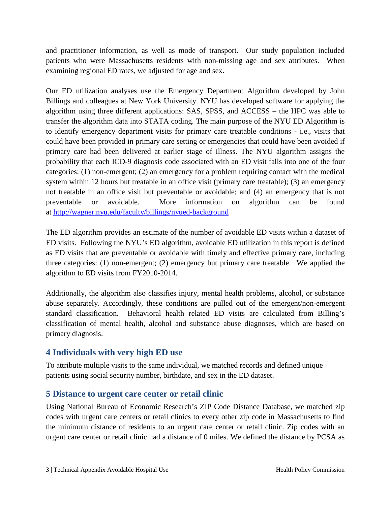and practitioner information, as well as mode of transport. Our study population included patients who were Massachusetts residents with non-missing age and sex attributes. When examining regional ED rates, we adjusted for age and sex.

Our ED utilization analyses use the Emergency Department Algorithm developed by John Billings and colleagues at New York University. NYU has developed software for applying the algorithm using three different applications: SAS, SPSS, and ACCESS – the HPC was able to transfer the algorithm data into STATA coding. The main purpose of the NYU ED Algorithm is to identify emergency department visits for primary care treatable conditions - i.e., visits that could have been provided in primary care setting or emergencies that could have been avoided if primary care had been delivered at earlier stage of illness. The NYU algorithm assigns the probability that each ICD-9 diagnosis code associated with an ED visit falls into one of the four categories: (1) non-emergent; (2) an emergency for a problem requiring contact with the medical system within 12 hours but treatable in an office visit (primary care treatable); (3) an emergency not treatable in an office visit but preventable or avoidable; and (4) an emergency that is not preventable or avoidable. More information on algorithm can be found at<http://wagner.nyu.edu/faculty/billings/nyued-background>

The ED algorithm provides an estimate of the number of avoidable ED visits within a dataset of ED visits. Following the NYU's ED algorithm, avoidable ED utilization in this report is defined as ED visits that are preventable or avoidable with timely and effective primary care, including three categories: (1) non-emergent; (2) emergency but primary care treatable. We applied the algorithm to ED visits from FY2010-2014.

Additionally, the algorithm also classifies injury, mental health problems, alcohol, or substance abuse separately. Accordingly, these conditions are pulled out of the emergent/non-emergent standard classification. Behavioral health related ED visits are calculated from Billing's classification of mental health, alcohol and substance abuse diagnoses, which are based on primary diagnosis.

## <span id="page-4-0"></span>**4 Individuals with very high ED use**

To attribute multiple visits to the same individual, we matched records and defined unique patients using social security number, birthdate, and sex in the ED dataset.

## <span id="page-4-1"></span>**5 Distance to urgent care center or retail clinic**

Using National Bureau of Economic Research's ZIP Code Distance Database, we matched zip codes with urgent care centers or retail clinics to every other zip code in Massachusetts to find the minimum distance of residents to an urgent care center or retail clinic. Zip codes with an urgent care center or retail clinic had a distance of 0 miles. We defined the distance by PCSA as